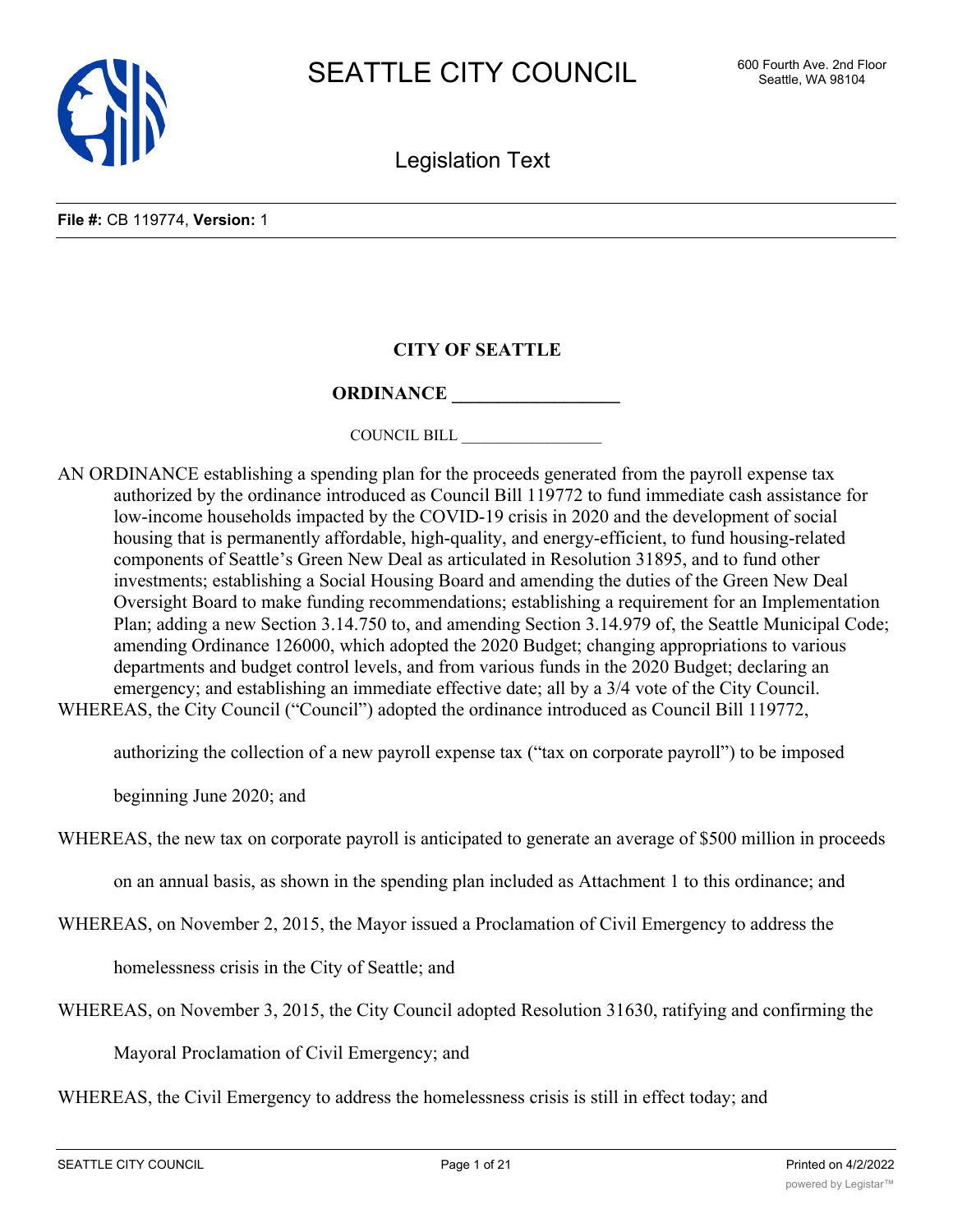

Legislation Text

# **CITY OF SEATTLE**

## **ORDINANCE**

COUNCIL BILL \_\_\_\_\_\_\_\_\_\_\_\_\_\_\_\_\_\_

AN ORDINANCE establishing a spending plan for the proceeds generated from the payroll expense tax authorized by the ordinance introduced as Council Bill 119772 to fund immediate cash assistance for low-income households impacted by the COVID-19 crisis in 2020 and the development of social housing that is permanently affordable, high-quality, and energy-efficient, to fund housing-related components of Seattle's Green New Deal as articulated in Resolution 31895, and to fund other investments; establishing a Social Housing Board and amending the duties of the Green New Deal Oversight Board to make funding recommendations; establishing a requirement for an Implementation Plan; adding a new Section 3.14.750 to, and amending Section 3.14.979 of, the Seattle Municipal Code; amending Ordinance 126000, which adopted the 2020 Budget; changing appropriations to various departments and budget control levels, and from various funds in the 2020 Budget; declaring an emergency; and establishing an immediate effective date; all by a  $3/4$  vote of the City Council. WHEREAS, the City Council ("Council") adopted the ordinance introduced as Council Bill 119772,

authorizing the collection of a new payroll expense tax ("tax on corporate payroll") to be imposed

beginning June 2020; and

WHEREAS, the new tax on corporate payroll is anticipated to generate an average of \$500 million in proceeds

on an annual basis, as shown in the spending plan included as Attachment 1 to this ordinance; and

WHEREAS, on November 2, 2015, the Mayor issued a Proclamation of Civil Emergency to address the

homelessness crisis in the City of Seattle; and

WHEREAS, on November 3, 2015, the City Council adopted Resolution 31630, ratifying and confirming the

Mayoral Proclamation of Civil Emergency; and

WHEREAS, the Civil Emergency to address the homelessness crisis is still in effect today; and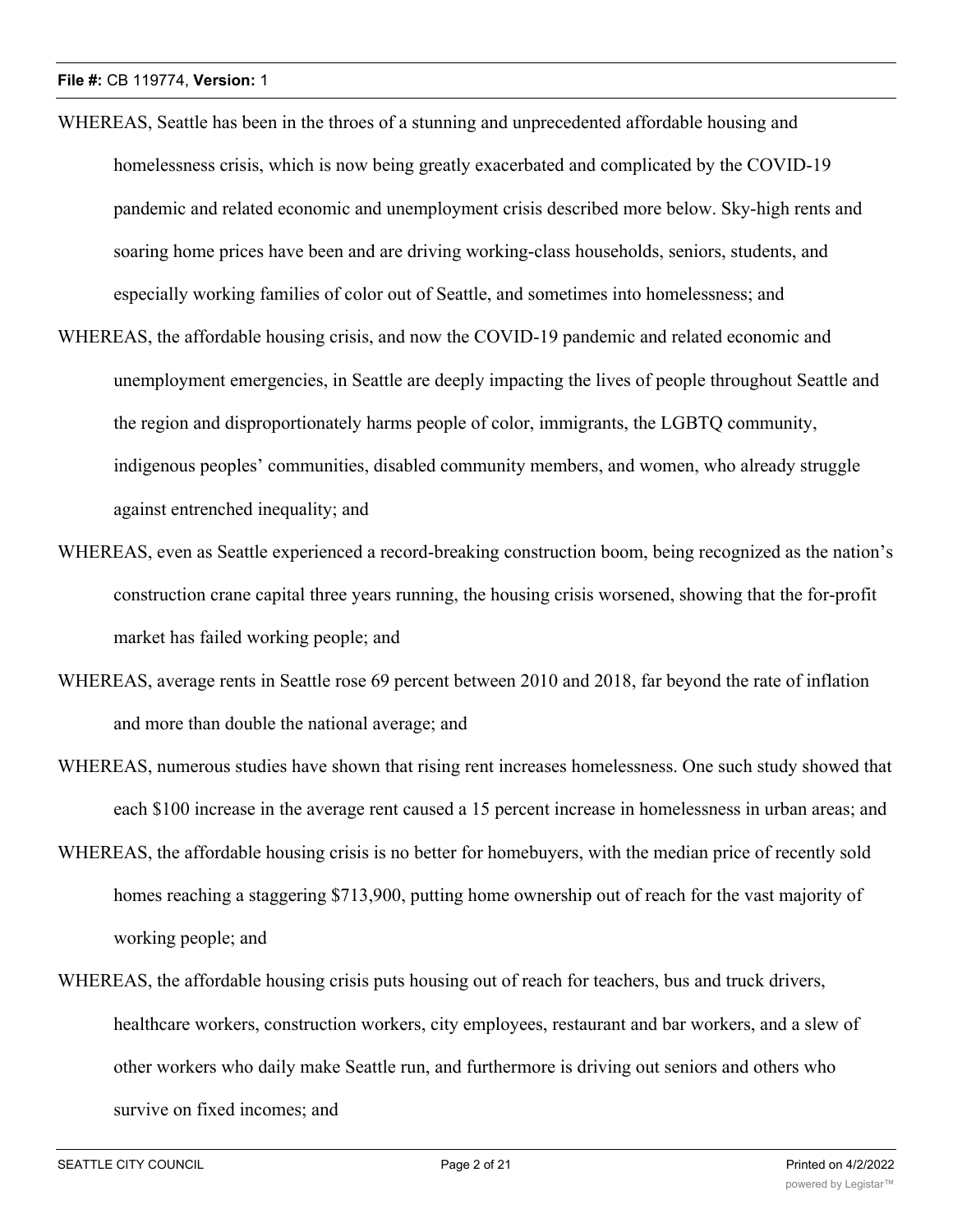- WHEREAS, Seattle has been in the throes of a stunning and unprecedented affordable housing and homelessness crisis, which is now being greatly exacerbated and complicated by the COVID-19 pandemic and related economic and unemployment crisis described more below. Sky-high rents and soaring home prices have been and are driving working-class households, seniors, students, and especially working families of color out of Seattle, and sometimes into homelessness; and
- WHEREAS, the affordable housing crisis, and now the COVID-19 pandemic and related economic and unemployment emergencies, in Seattle are deeply impacting the lives of people throughout Seattle and the region and disproportionately harms people of color, immigrants, the LGBTQ community, indigenous peoples' communities, disabled community members, and women, who already struggle against entrenched inequality; and
- WHEREAS, even as Seattle experienced a record-breaking construction boom, being recognized as the nation's construction crane capital three years running, the housing crisis worsened, showing that the for-profit market has failed working people; and
- WHEREAS, average rents in Seattle rose 69 percent between 2010 and 2018, far beyond the rate of inflation and more than double the national average; and
- WHEREAS, numerous studies have shown that rising rent increases homelessness. One such study showed that each \$100 increase in the average rent caused a 15 percent increase in homelessness in urban areas; and
- WHEREAS, the affordable housing crisis is no better for homebuyers, with the median price of recently sold homes reaching a staggering \$713,900, putting home ownership out of reach for the vast majority of working people; and
- WHEREAS, the affordable housing crisis puts housing out of reach for teachers, bus and truck drivers, healthcare workers, construction workers, city employees, restaurant and bar workers, and a slew of other workers who daily make Seattle run, and furthermore is driving out seniors and others who survive on fixed incomes; and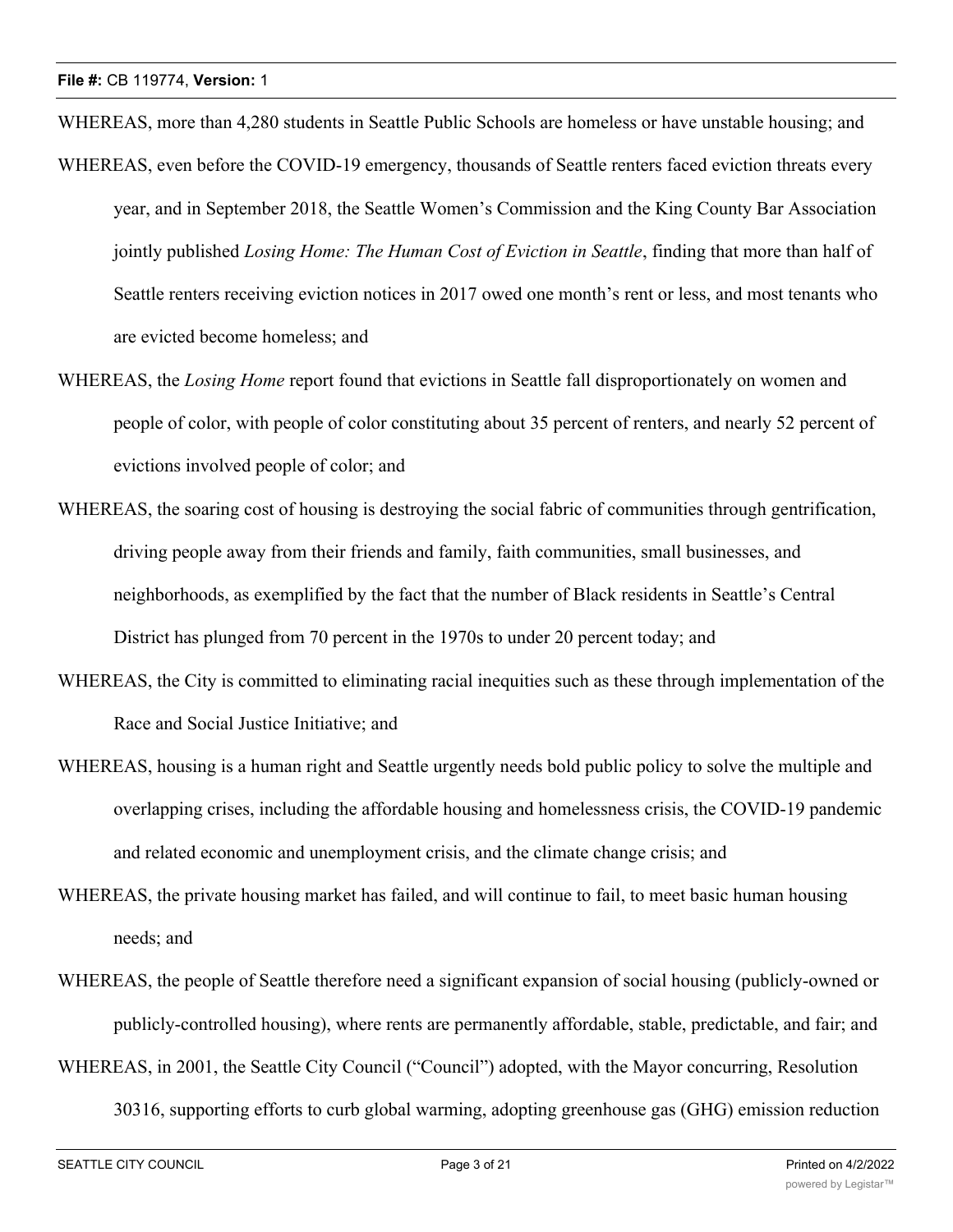WHEREAS, more than 4,280 students in Seattle Public Schools are homeless or have unstable housing; and

- WHEREAS, even before the COVID-19 emergency, thousands of Seattle renters faced eviction threats every year, and in September 2018, the Seattle Women's Commission and the King County Bar Association jointly published *Losing Home: The Human Cost of Eviction in Seattle*, finding that more than half of Seattle renters receiving eviction notices in 2017 owed one month's rent or less, and most tenants who are evicted become homeless; and
- WHEREAS, the *Losing Home* report found that evictions in Seattle fall disproportionately on women and people of color, with people of color constituting about 35 percent of renters, and nearly 52 percent of evictions involved people of color; and
- WHEREAS, the soaring cost of housing is destroying the social fabric of communities through gentrification, driving people away from their friends and family, faith communities, small businesses, and neighborhoods, as exemplified by the fact that the number of Black residents in Seattle's Central District has plunged from 70 percent in the 1970s to under 20 percent today; and
- WHEREAS, the City is committed to eliminating racial inequities such as these through implementation of the Race and Social Justice Initiative; and
- WHEREAS, housing is a human right and Seattle urgently needs bold public policy to solve the multiple and overlapping crises, including the affordable housing and homelessness crisis, the COVID-19 pandemic and related economic and unemployment crisis, and the climate change crisis; and
- WHEREAS, the private housing market has failed, and will continue to fail, to meet basic human housing needs; and
- WHEREAS, the people of Seattle therefore need a significant expansion of social housing (publicly-owned or publicly-controlled housing), where rents are permanently affordable, stable, predictable, and fair; and

WHEREAS, in 2001, the Seattle City Council ("Council") adopted, with the Mayor concurring, Resolution

30316, supporting efforts to curb global warming, adopting greenhouse gas (GHG) emission reduction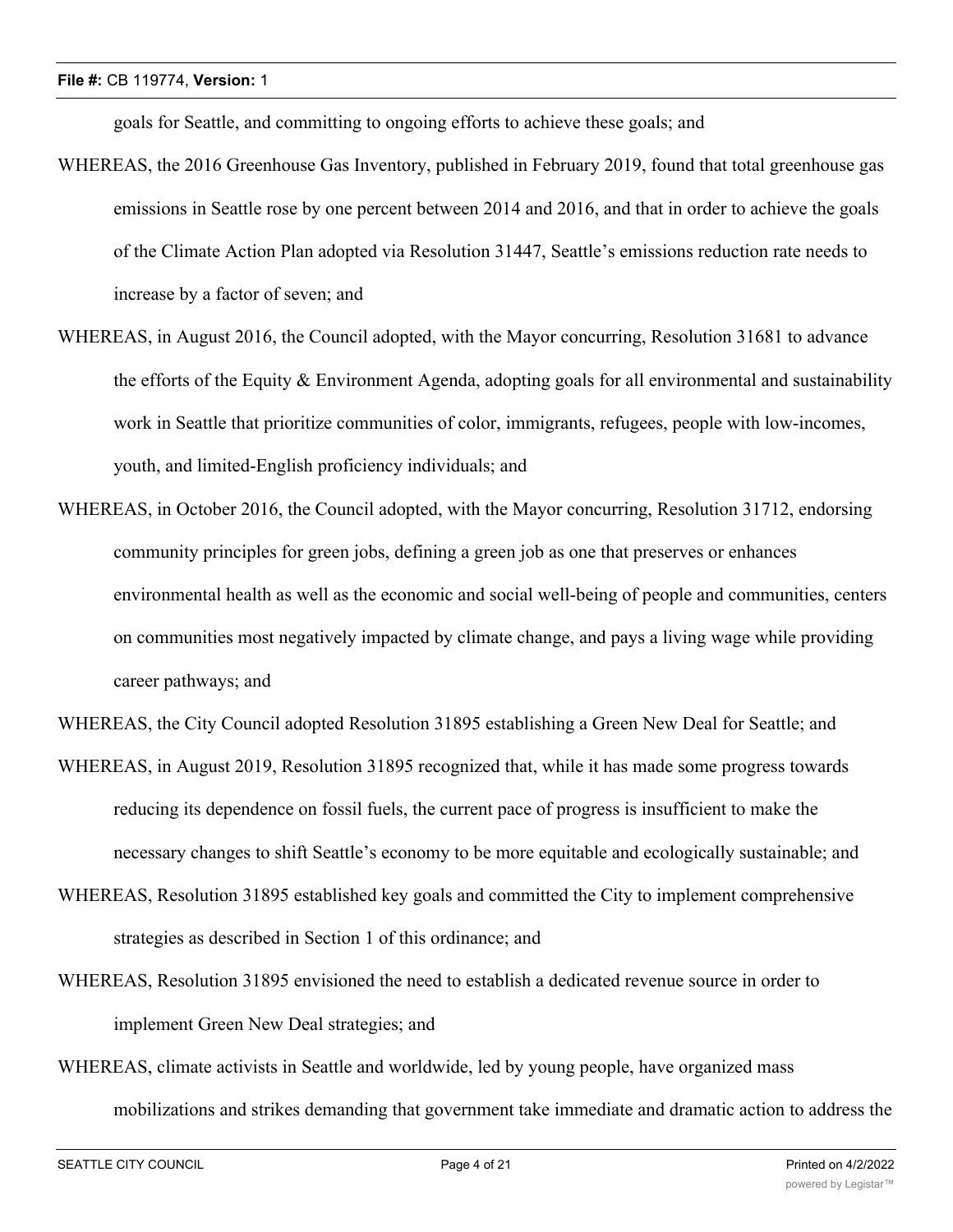goals for Seattle, and committing to ongoing efforts to achieve these goals; and

- WHEREAS, the 2016 Greenhouse Gas Inventory, published in February 2019, found that total greenhouse gas emissions in Seattle rose by one percent between 2014 and 2016, and that in order to achieve the goals of the Climate Action Plan adopted via Resolution 31447, Seattle's emissions reduction rate needs to increase by a factor of seven; and
- WHEREAS, in August 2016, the Council adopted, with the Mayor concurring, Resolution 31681 to advance the efforts of the Equity  $\&$  Environment Agenda, adopting goals for all environmental and sustainability work in Seattle that prioritize communities of color, immigrants, refugees, people with low-incomes, youth, and limited-English proficiency individuals; and
- WHEREAS, in October 2016, the Council adopted, with the Mayor concurring, Resolution 31712, endorsing community principles for green jobs, defining a green job as one that preserves or enhances environmental health as well as the economic and social well-being of people and communities, centers on communities most negatively impacted by climate change, and pays a living wage while providing career pathways; and
- WHEREAS, the City Council adopted Resolution 31895 establishing a Green New Deal for Seattle; and
- WHEREAS, in August 2019, Resolution 31895 recognized that, while it has made some progress towards reducing its dependence on fossil fuels, the current pace of progress is insufficient to make the necessary changes to shift Seattle's economy to be more equitable and ecologically sustainable; and
- WHEREAS, Resolution 31895 established key goals and committed the City to implement comprehensive strategies as described in Section 1 of this ordinance; and
- WHEREAS, Resolution 31895 envisioned the need to establish a dedicated revenue source in order to implement Green New Deal strategies; and
- WHEREAS, climate activists in Seattle and worldwide, led by young people, have organized mass mobilizations and strikes demanding that government take immediate and dramatic action to address the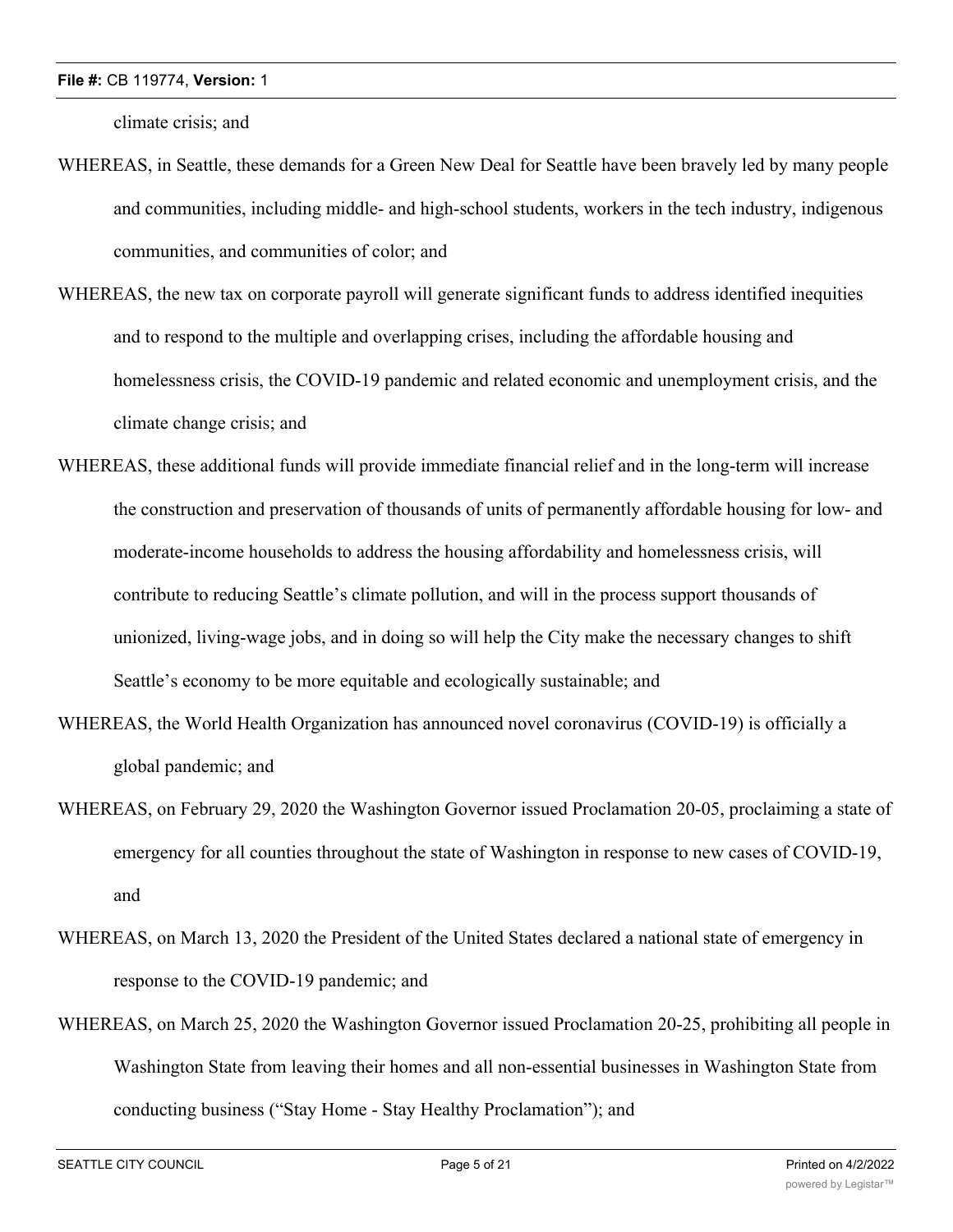climate crisis; and

- WHEREAS, in Seattle, these demands for a Green New Deal for Seattle have been bravely led by many people and communities, including middle- and high-school students, workers in the tech industry, indigenous communities, and communities of color; and
- WHEREAS, the new tax on corporate payroll will generate significant funds to address identified inequities and to respond to the multiple and overlapping crises, including the affordable housing and homelessness crisis, the COVID-19 pandemic and related economic and unemployment crisis, and the climate change crisis; and
- WHEREAS, these additional funds will provide immediate financial relief and in the long-term will increase the construction and preservation of thousands of units of permanently affordable housing for low- and moderate-income households to address the housing affordability and homelessness crisis, will contribute to reducing Seattle's climate pollution, and will in the process support thousands of unionized, living-wage jobs, and in doing so will help the City make the necessary changes to shift Seattle's economy to be more equitable and ecologically sustainable; and
- WHEREAS, the World Health Organization has announced novel coronavirus (COVID-19) is officially a global pandemic; and
- WHEREAS, on February 29, 2020 the Washington Governor issued Proclamation 20-05, proclaiming a state of emergency for all counties throughout the state of Washington in response to new cases of COVID-19, and
- WHEREAS, on March 13, 2020 the President of the United States declared a national state of emergency in response to the COVID-19 pandemic; and
- WHEREAS, on March 25, 2020 the Washington Governor issued Proclamation 20-25, prohibiting all people in Washington State from leaving their homes and all non-essential businesses in Washington State from conducting business ("Stay Home - Stay Healthy Proclamation"); and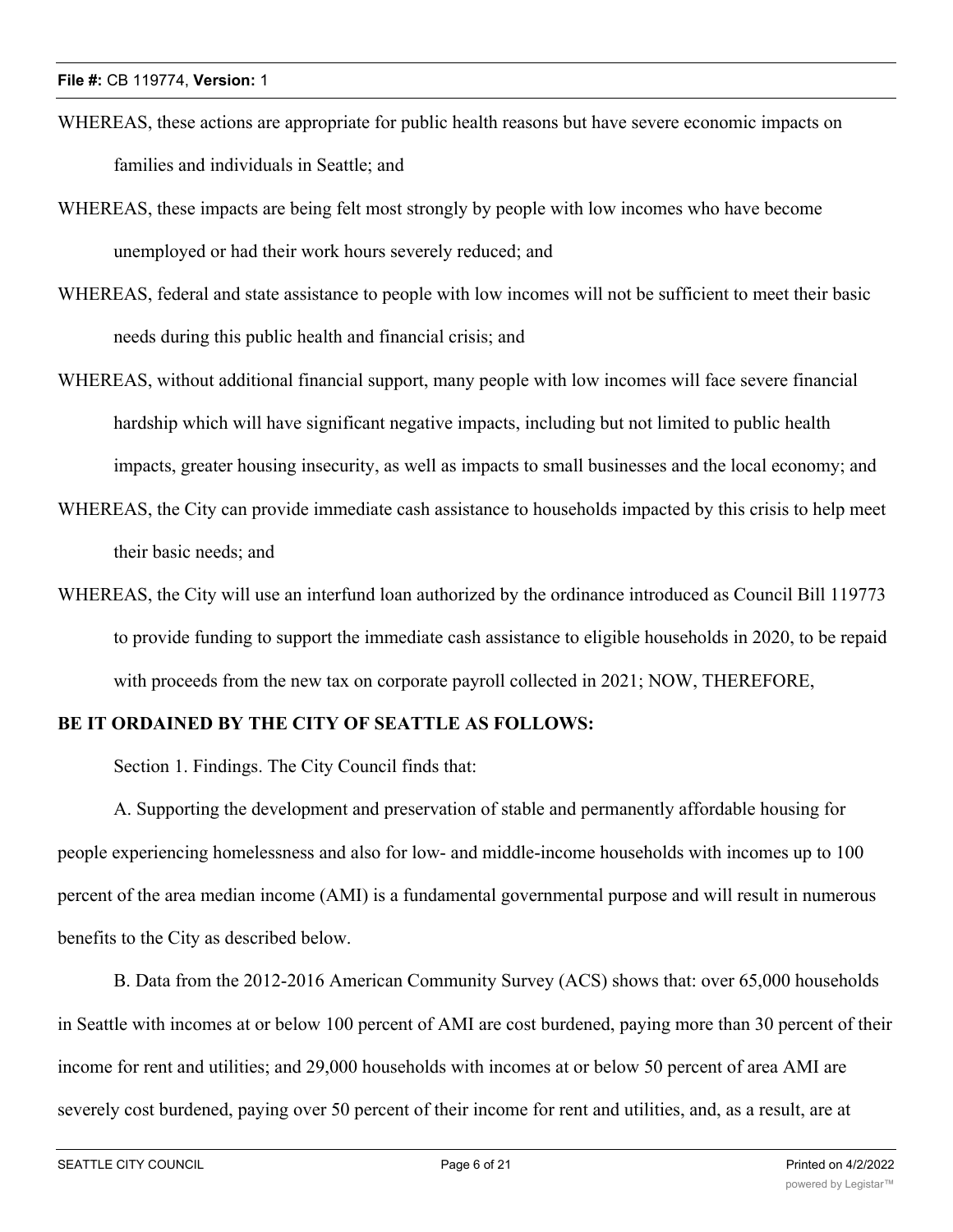- WHEREAS, these actions are appropriate for public health reasons but have severe economic impacts on families and individuals in Seattle; and
- WHEREAS, these impacts are being felt most strongly by people with low incomes who have become unemployed or had their work hours severely reduced; and
- WHEREAS, federal and state assistance to people with low incomes will not be sufficient to meet their basic needs during this public health and financial crisis; and
- WHEREAS, without additional financial support, many people with low incomes will face severe financial hardship which will have significant negative impacts, including but not limited to public health impacts, greater housing insecurity, as well as impacts to small businesses and the local economy; and
- WHEREAS, the City can provide immediate cash assistance to households impacted by this crisis to help meet their basic needs; and
- WHEREAS, the City will use an interfund loan authorized by the ordinance introduced as Council Bill 119773 to provide funding to support the immediate cash assistance to eligible households in 2020, to be repaid with proceeds from the new tax on corporate payroll collected in 2021; NOW, THEREFORE,

# **BE IT ORDAINED BY THE CITY OF SEATTLE AS FOLLOWS:**

Section 1. Findings. The City Council finds that:

A. Supporting the development and preservation of stable and permanently affordable housing for people experiencing homelessness and also for low- and middle-income households with incomes up to 100 percent of the area median income (AMI) is a fundamental governmental purpose and will result in numerous benefits to the City as described below.

B. Data from the 2012-2016 American Community Survey (ACS) shows that: over 65,000 households in Seattle with incomes at or below 100 percent of AMI are cost burdened, paying more than 30 percent of their income for rent and utilities; and 29,000 households with incomes at or below 50 percent of area AMI are severely cost burdened, paying over 50 percent of their income for rent and utilities, and, as a result, are at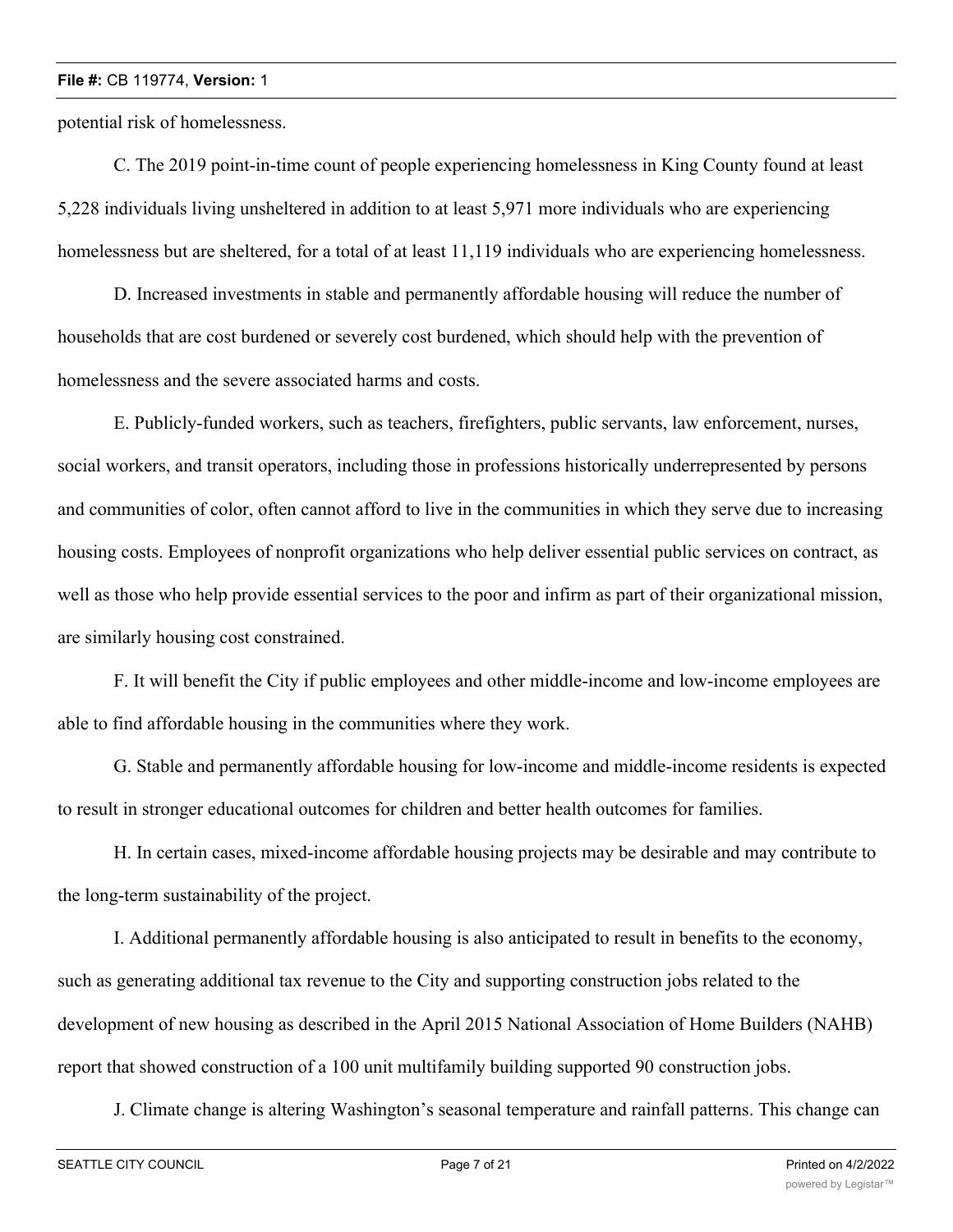potential risk of homelessness.

C. The 2019 point-in-time count of people experiencing homelessness in King County found at least 5,228 individuals living unsheltered in addition to at least 5,971 more individuals who are experiencing homelessness but are sheltered, for a total of at least 11,119 individuals who are experiencing homelessness.

D. Increased investments in stable and permanently affordable housing will reduce the number of households that are cost burdened or severely cost burdened, which should help with the prevention of homelessness and the severe associated harms and costs.

E. Publicly-funded workers, such as teachers, firefighters, public servants, law enforcement, nurses, social workers, and transit operators, including those in professions historically underrepresented by persons and communities of color, often cannot afford to live in the communities in which they serve due to increasing housing costs. Employees of nonprofit organizations who help deliver essential public services on contract, as well as those who help provide essential services to the poor and infirm as part of their organizational mission, are similarly housing cost constrained.

F. It will benefit the City if public employees and other middle-income and low-income employees are able to find affordable housing in the communities where they work.

G. Stable and permanently affordable housing for low-income and middle-income residents is expected to result in stronger educational outcomes for children and better health outcomes for families.

H. In certain cases, mixed-income affordable housing projects may be desirable and may contribute to the long-term sustainability of the project.

I. Additional permanently affordable housing is also anticipated to result in benefits to the economy, such as generating additional tax revenue to the City and supporting construction jobs related to the development of new housing as described in the April 2015 National Association of Home Builders (NAHB) report that showed construction of a 100 unit multifamily building supported 90 construction jobs.

J. Climate change is altering Washington's seasonal temperature and rainfall patterns. This change can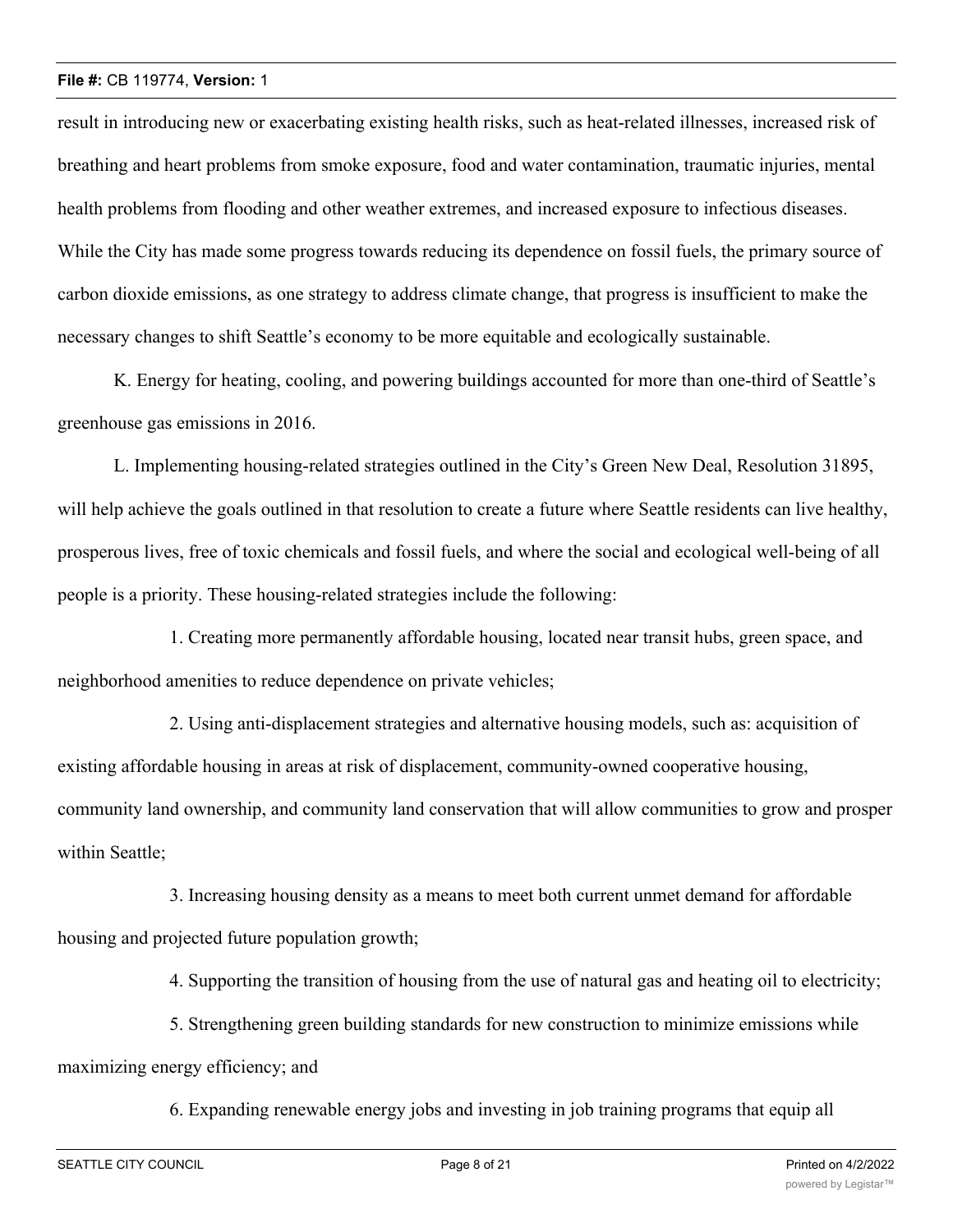result in introducing new or exacerbating existing health risks, such as heat-related illnesses, increased risk of breathing and heart problems from smoke exposure, food and water contamination, traumatic injuries, mental health problems from flooding and other weather extremes, and increased exposure to infectious diseases. While the City has made some progress towards reducing its dependence on fossil fuels, the primary source of carbon dioxide emissions, as one strategy to address climate change, that progress is insufficient to make the necessary changes to shift Seattle's economy to be more equitable and ecologically sustainable.

K. Energy for heating, cooling, and powering buildings accounted for more than one-third of Seattle's greenhouse gas emissions in 2016.

L. Implementing housing-related strategies outlined in the City's Green New Deal, Resolution 31895, will help achieve the goals outlined in that resolution to create a future where Seattle residents can live healthy, prosperous lives, free of toxic chemicals and fossil fuels, and where the social and ecological well-being of all people is a priority. These housing-related strategies include the following:

1. Creating more permanently affordable housing, located near transit hubs, green space, and neighborhood amenities to reduce dependence on private vehicles;

2. Using anti-displacement strategies and alternative housing models, such as: acquisition of existing affordable housing in areas at risk of displacement, community-owned cooperative housing, community land ownership, and community land conservation that will allow communities to grow and prosper within Seattle;

3. Increasing housing density as a means to meet both current unmet demand for affordable housing and projected future population growth;

4. Supporting the transition of housing from the use of natural gas and heating oil to electricity;

5. Strengthening green building standards for new construction to minimize emissions while maximizing energy efficiency; and

6. Expanding renewable energy jobs and investing in job training programs that equip all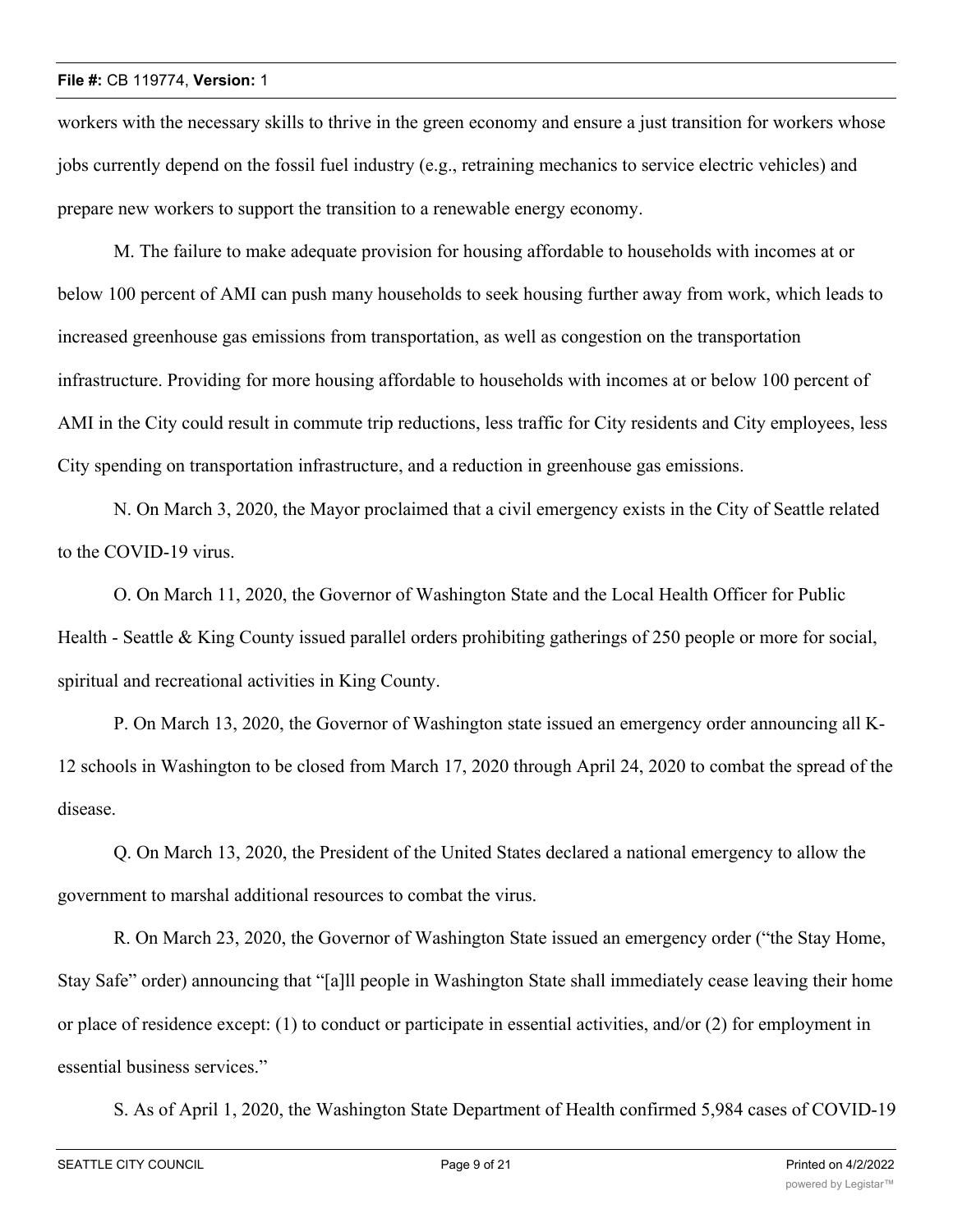workers with the necessary skills to thrive in the green economy and ensure a just transition for workers whose jobs currently depend on the fossil fuel industry (e.g., retraining mechanics to service electric vehicles) and prepare new workers to support the transition to a renewable energy economy.

M. The failure to make adequate provision for housing affordable to households with incomes at or below 100 percent of AMI can push many households to seek housing further away from work, which leads to increased greenhouse gas emissions from transportation, as well as congestion on the transportation infrastructure. Providing for more housing affordable to households with incomes at or below 100 percent of AMI in the City could result in commute trip reductions, less traffic for City residents and City employees, less City spending on transportation infrastructure, and a reduction in greenhouse gas emissions.

N. On March 3, 2020, the Mayor proclaimed that a civil emergency exists in the City of Seattle related to the COVID-19 virus.

O. On March 11, 2020, the Governor of Washington State and the Local Health Officer for Public Health - Seattle & King County issued parallel orders prohibiting gatherings of 250 people or more for social, spiritual and recreational activities in King County.

P. On March 13, 2020, the Governor of Washington state issued an emergency order announcing all K-12 schools in Washington to be closed from March 17, 2020 through April 24, 2020 to combat the spread of the disease.

Q. On March 13, 2020, the President of the United States declared a national emergency to allow the government to marshal additional resources to combat the virus.

R. On March 23, 2020, the Governor of Washington State issued an emergency order ("the Stay Home, Stay Safe" order) announcing that "[a]ll people in Washington State shall immediately cease leaving their home or place of residence except: (1) to conduct or participate in essential activities, and/or (2) for employment in essential business services."

S. As of April 1, 2020, the Washington State Department of Health confirmed 5,984 cases of COVID-19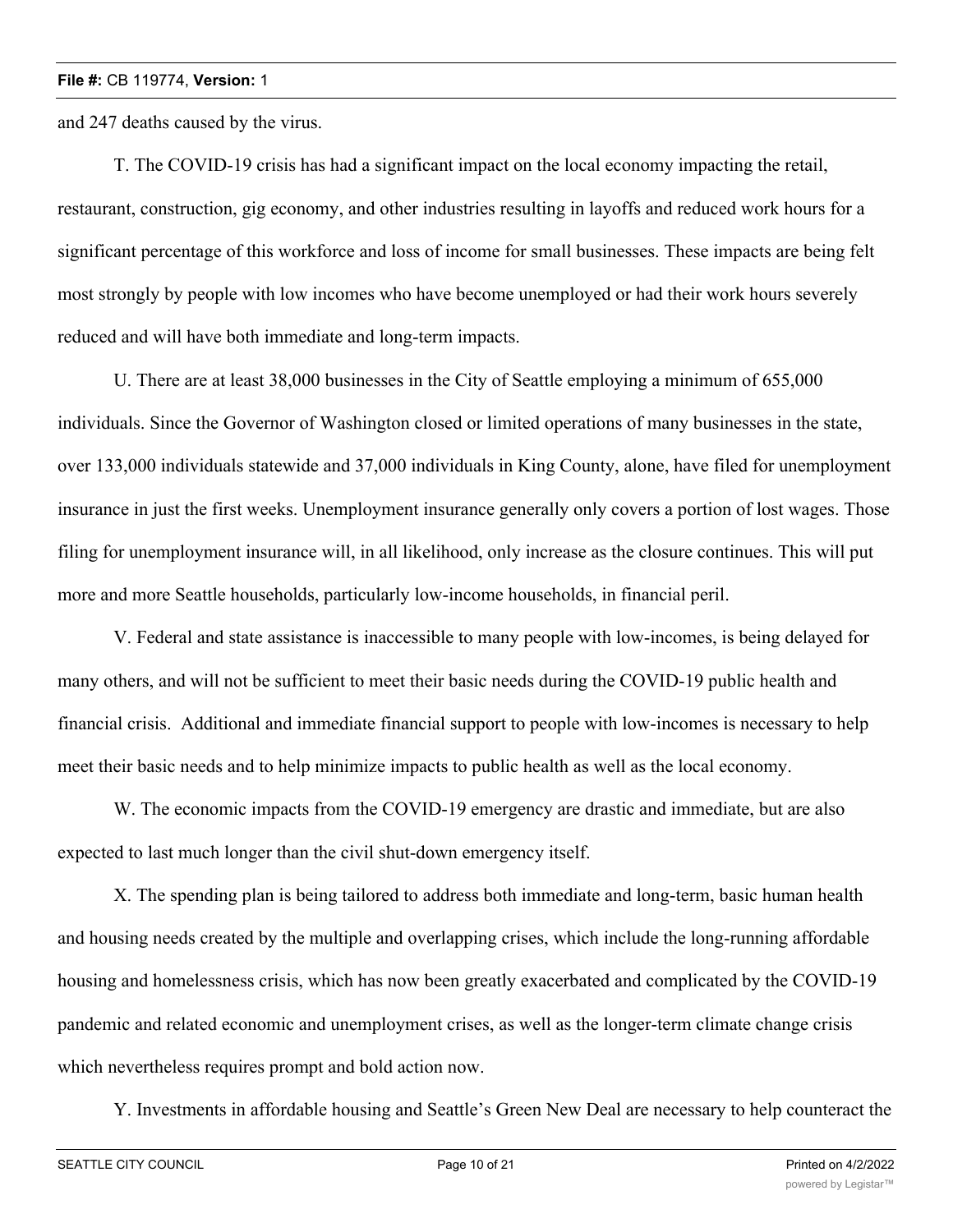and 247 deaths caused by the virus.

T. The COVID-19 crisis has had a significant impact on the local economy impacting the retail, restaurant, construction, gig economy, and other industries resulting in layoffs and reduced work hours for a significant percentage of this workforce and loss of income for small businesses. These impacts are being felt most strongly by people with low incomes who have become unemployed or had their work hours severely reduced and will have both immediate and long-term impacts.

U. There are at least 38,000 businesses in the City of Seattle employing a minimum of 655,000 individuals. Since the Governor of Washington closed or limited operations of many businesses in the state, over 133,000 individuals statewide and 37,000 individuals in King County, alone, have filed for unemployment insurance in just the first weeks. Unemployment insurance generally only covers a portion of lost wages. Those filing for unemployment insurance will, in all likelihood, only increase as the closure continues. This will put more and more Seattle households, particularly low-income households, in financial peril.

V. Federal and state assistance is inaccessible to many people with low-incomes, is being delayed for many others, and will not be sufficient to meet their basic needs during the COVID-19 public health and financial crisis. Additional and immediate financial support to people with low-incomes is necessary to help meet their basic needs and to help minimize impacts to public health as well as the local economy.

W. The economic impacts from the COVID-19 emergency are drastic and immediate, but are also expected to last much longer than the civil shut-down emergency itself.

X. The spending plan is being tailored to address both immediate and long-term, basic human health and housing needs created by the multiple and overlapping crises, which include the long-running affordable housing and homelessness crisis, which has now been greatly exacerbated and complicated by the COVID-19 pandemic and related economic and unemployment crises, as well as the longer-term climate change crisis which nevertheless requires prompt and bold action now.

Y. Investments in affordable housing and Seattle's Green New Deal are necessary to help counteract the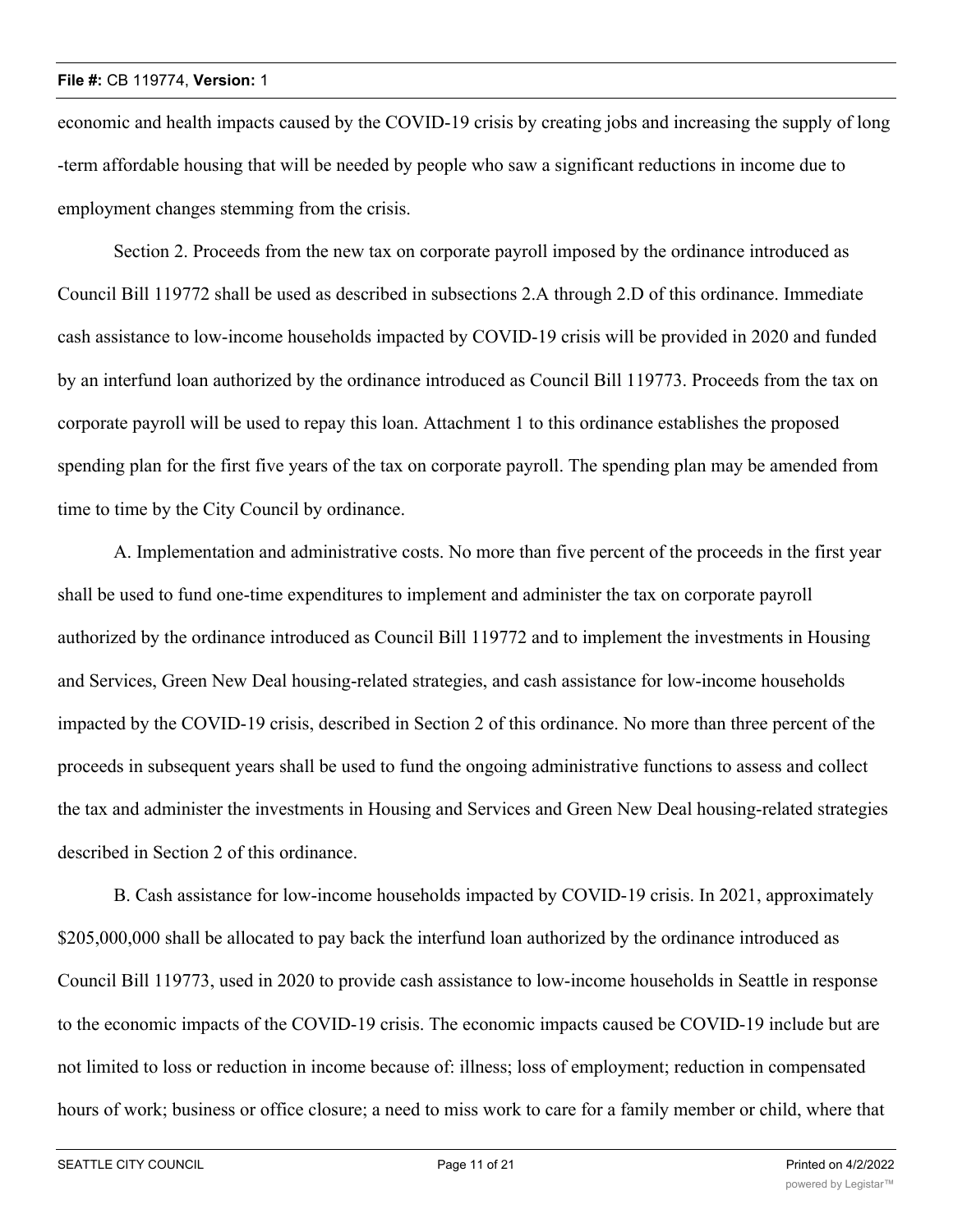economic and health impacts caused by the COVID-19 crisis by creating jobs and increasing the supply of long -term affordable housing that will be needed by people who saw a significant reductions in income due to employment changes stemming from the crisis.

Section 2. Proceeds from the new tax on corporate payroll imposed by the ordinance introduced as Council Bill 119772 shall be used as described in subsections 2.A through 2.D of this ordinance. Immediate cash assistance to low-income households impacted by COVID-19 crisis will be provided in 2020 and funded by an interfund loan authorized by the ordinance introduced as Council Bill 119773. Proceeds from the tax on corporate payroll will be used to repay this loan. Attachment 1 to this ordinance establishes the proposed spending plan for the first five years of the tax on corporate payroll. The spending plan may be amended from time to time by the City Council by ordinance.

A. Implementation and administrative costs. No more than five percent of the proceeds in the first year shall be used to fund one-time expenditures to implement and administer the tax on corporate payroll authorized by the ordinance introduced as Council Bill 119772 and to implement the investments in Housing and Services, Green New Deal housing-related strategies, and cash assistance for low-income households impacted by the COVID-19 crisis, described in Section 2 of this ordinance. No more than three percent of the proceeds in subsequent years shall be used to fund the ongoing administrative functions to assess and collect the tax and administer the investments in Housing and Services and Green New Deal housing-related strategies described in Section 2 of this ordinance.

B. Cash assistance for low-income households impacted by COVID-19 crisis. In 2021, approximately \$205,000,000 shall be allocated to pay back the interfund loan authorized by the ordinance introduced as Council Bill 119773, used in 2020 to provide cash assistance to low-income households in Seattle in response to the economic impacts of the COVID-19 crisis. The economic impacts caused be COVID-19 include but are not limited to loss or reduction in income because of: illness; loss of employment; reduction in compensated hours of work; business or office closure; a need to miss work to care for a family member or child, where that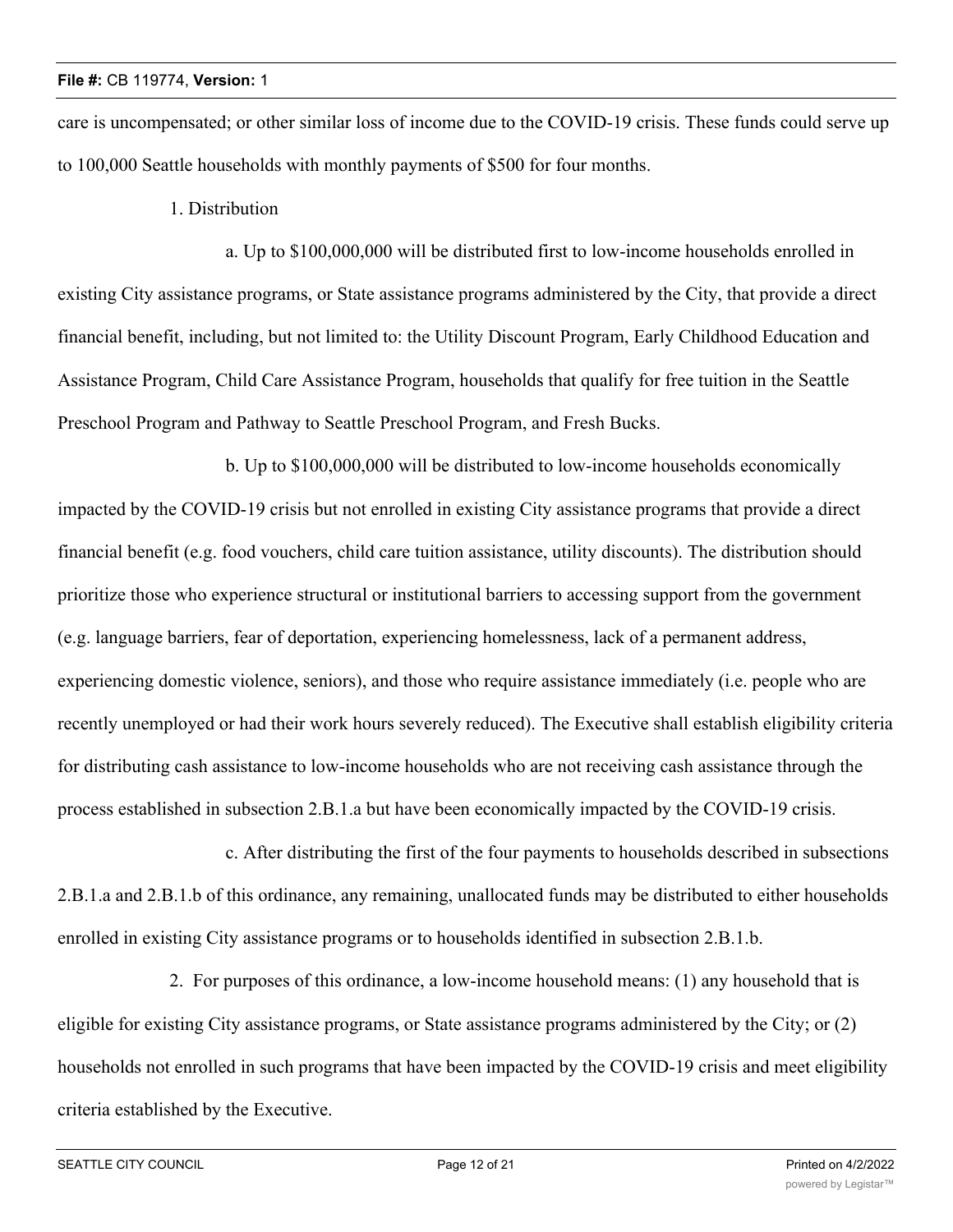care is uncompensated; or other similar loss of income due to the COVID-19 crisis. These funds could serve up to 100,000 Seattle households with monthly payments of \$500 for four months.

1. Distribution

a. Up to \$100,000,000 will be distributed first to low-income households enrolled in existing City assistance programs, or State assistance programs administered by the City, that provide a direct financial benefit, including, but not limited to: the Utility Discount Program, Early Childhood Education and Assistance Program, Child Care Assistance Program, households that qualify for free tuition in the Seattle Preschool Program and Pathway to Seattle Preschool Program, and Fresh Bucks.

b. Up to \$100,000,000 will be distributed to low-income households economically impacted by the COVID-19 crisis but not enrolled in existing City assistance programs that provide a direct financial benefit (e.g. food vouchers, child care tuition assistance, utility discounts). The distribution should prioritize those who experience structural or institutional barriers to accessing support from the government (e.g. language barriers, fear of deportation, experiencing homelessness, lack of a permanent address, experiencing domestic violence, seniors), and those who require assistance immediately (i.e. people who are recently unemployed or had their work hours severely reduced). The Executive shall establish eligibility criteria for distributing cash assistance to low-income households who are not receiving cash assistance through the process established in subsection 2.B.1.a but have been economically impacted by the COVID-19 crisis.

c. After distributing the first of the four payments to households described in subsections 2.B.1.a and 2.B.1.b of this ordinance, any remaining, unallocated funds may be distributed to either households enrolled in existing City assistance programs or to households identified in subsection 2.B.1.b.

2. For purposes of this ordinance, a low-income household means: (1) any household that is eligible for existing City assistance programs, or State assistance programs administered by the City; or (2) households not enrolled in such programs that have been impacted by the COVID-19 crisis and meet eligibility criteria established by the Executive.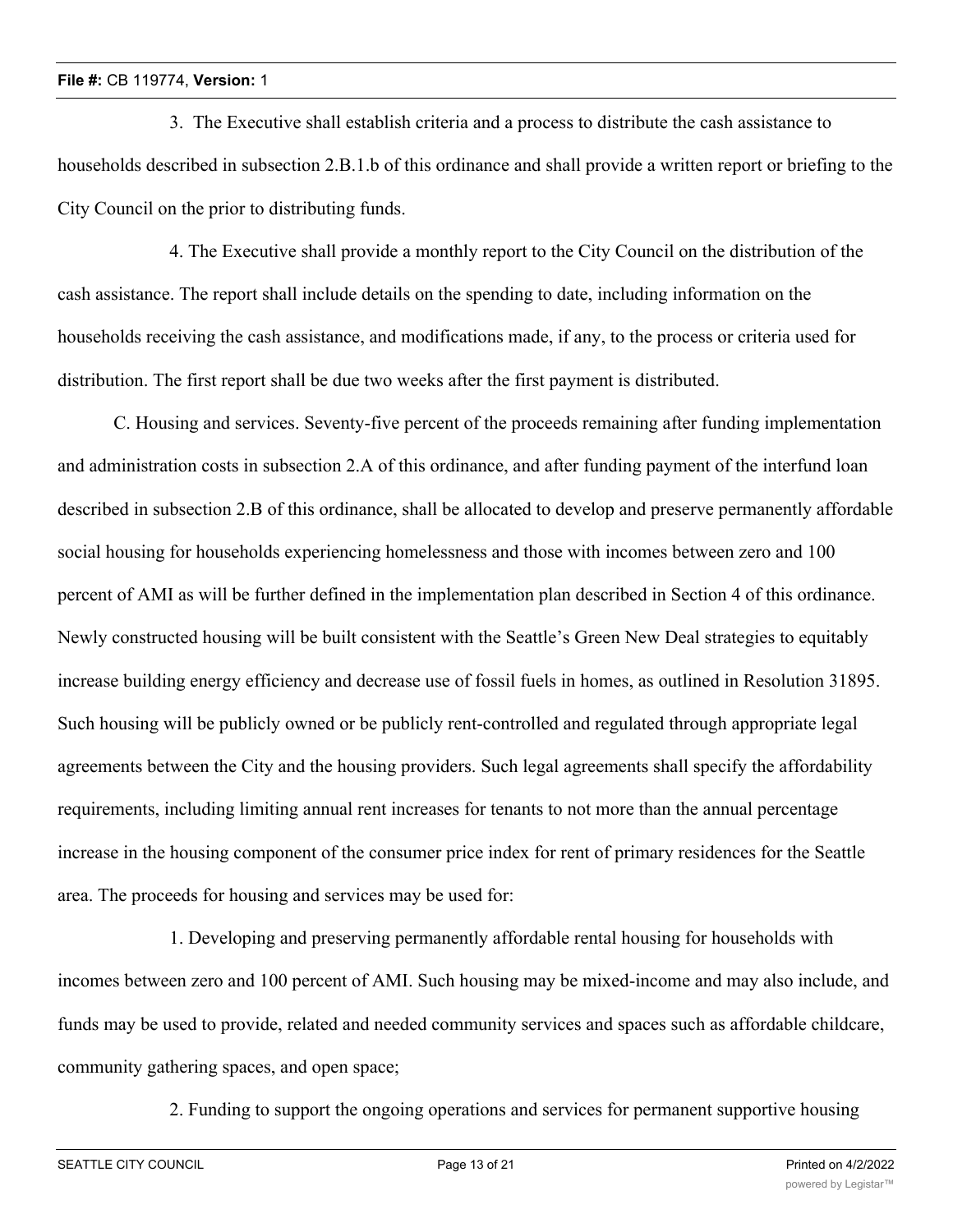3. The Executive shall establish criteria and a process to distribute the cash assistance to households described in subsection 2.B.1.b of this ordinance and shall provide a written report or briefing to the City Council on the prior to distributing funds.

4. The Executive shall provide a monthly report to the City Council on the distribution of the cash assistance. The report shall include details on the spending to date, including information on the households receiving the cash assistance, and modifications made, if any, to the process or criteria used for distribution. The first report shall be due two weeks after the first payment is distributed.

C. Housing and services. Seventy-five percent of the proceeds remaining after funding implementation and administration costs in subsection 2.A of this ordinance, and after funding payment of the interfund loan described in subsection 2.B of this ordinance, shall be allocated to develop and preserve permanently affordable social housing for households experiencing homelessness and those with incomes between zero and 100 percent of AMI as will be further defined in the implementation plan described in Section 4 of this ordinance. Newly constructed housing will be built consistent with the Seattle's Green New Deal strategies to equitably increase building energy efficiency and decrease use of fossil fuels in homes, as outlined in Resolution 31895. Such housing will be publicly owned or be publicly rent-controlled and regulated through appropriate legal agreements between the City and the housing providers. Such legal agreements shall specify the affordability requirements, including limiting annual rent increases for tenants to not more than the annual percentage increase in the housing component of the consumer price index for rent of primary residences for the Seattle area. The proceeds for housing and services may be used for:

1. Developing and preserving permanently affordable rental housing for households with incomes between zero and 100 percent of AMI. Such housing may be mixed-income and may also include, and funds may be used to provide, related and needed community services and spaces such as affordable childcare, community gathering spaces, and open space;

2. Funding to support the ongoing operations and services for permanent supportive housing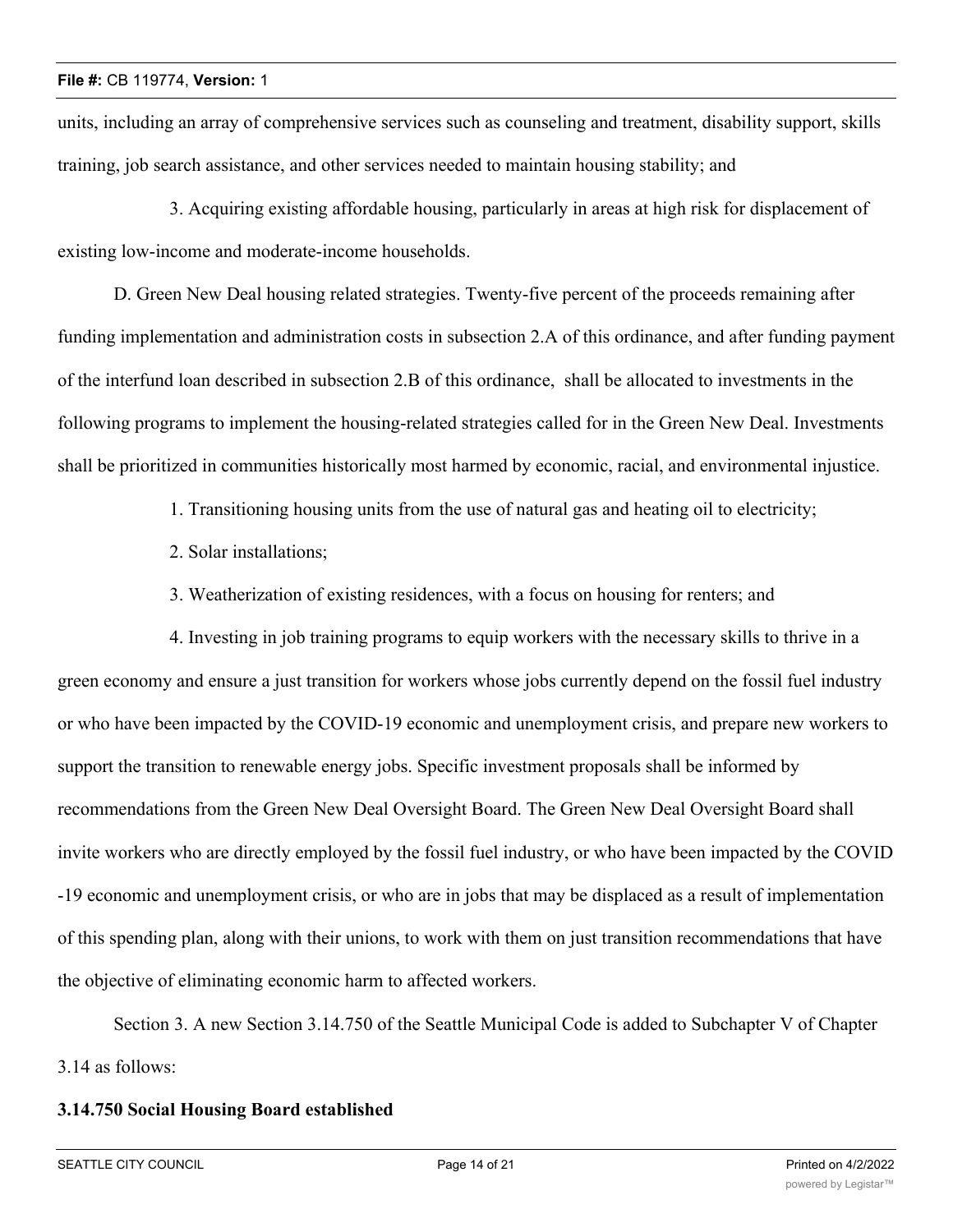units, including an array of comprehensive services such as counseling and treatment, disability support, skills training, job search assistance, and other services needed to maintain housing stability; and

3. Acquiring existing affordable housing, particularly in areas at high risk for displacement of existing low-income and moderate-income households.

D. Green New Deal housing related strategies. Twenty-five percent of the proceeds remaining after funding implementation and administration costs in subsection 2.A of this ordinance, and after funding payment of the interfund loan described in subsection 2.B of this ordinance, shall be allocated to investments in the following programs to implement the housing-related strategies called for in the Green New Deal. Investments shall be prioritized in communities historically most harmed by economic, racial, and environmental injustice.

1. Transitioning housing units from the use of natural gas and heating oil to electricity;

- 2. Solar installations;
- 3. Weatherization of existing residences, with a focus on housing for renters; and

4. Investing in job training programs to equip workers with the necessary skills to thrive in a green economy and ensure a just transition for workers whose jobs currently depend on the fossil fuel industry or who have been impacted by the COVID-19 economic and unemployment crisis, and prepare new workers to support the transition to renewable energy jobs. Specific investment proposals shall be informed by recommendations from the Green New Deal Oversight Board. The Green New Deal Oversight Board shall invite workers who are directly employed by the fossil fuel industry, or who have been impacted by the COVID -19 economic and unemployment crisis, or who are in jobs that may be displaced as a result of implementation of this spending plan, along with their unions, to work with them on just transition recommendations that have the objective of eliminating economic harm to affected workers.

Section 3. A new Section 3.14.750 of the Seattle Municipal Code is added to Subchapter V of Chapter 3.14 as follows:

# **3.14.750 Social Housing Board established**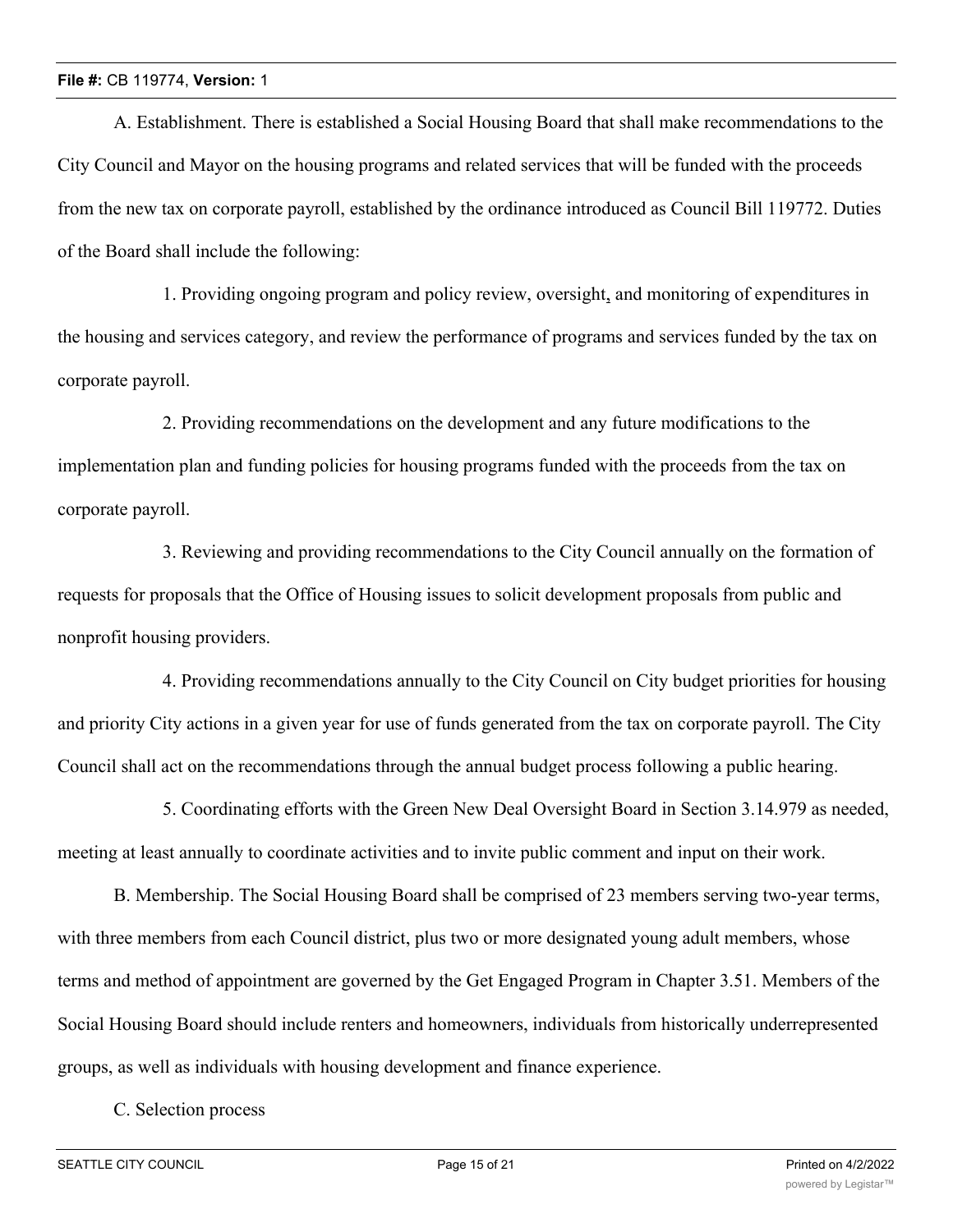A. Establishment. There is established a Social Housing Board that shall make recommendations to the City Council and Mayor on the housing programs and related services that will be funded with the proceeds from the new tax on corporate payroll, established by the ordinance introduced as Council Bill 119772. Duties of the Board shall include the following:

1. Providing ongoing program and policy review, oversight, and monitoring of expenditures in the housing and services category, and review the performance of programs and services funded by the tax on corporate payroll.

2. Providing recommendations on the development and any future modifications to the implementation plan and funding policies for housing programs funded with the proceeds from the tax on corporate payroll.

3. Reviewing and providing recommendations to the City Council annually on the formation of requests for proposals that the Office of Housing issues to solicit development proposals from public and nonprofit housing providers.

4. Providing recommendations annually to the City Council on City budget priorities for housing and priority City actions in a given year for use of funds generated from the tax on corporate payroll. The City Council shall act on the recommendations through the annual budget process following a public hearing.

5. Coordinating efforts with the Green New Deal Oversight Board in Section 3.14.979 as needed, meeting at least annually to coordinate activities and to invite public comment and input on their work.

B. Membership. The Social Housing Board shall be comprised of 23 members serving two-year terms, with three members from each Council district, plus two or more designated young adult members, whose terms and method of appointment are governed by the Get Engaged Program in Chapter 3.51. Members of the Social Housing Board should include renters and homeowners, individuals from historically underrepresented groups, as well as individuals with housing development and finance experience.

C. Selection process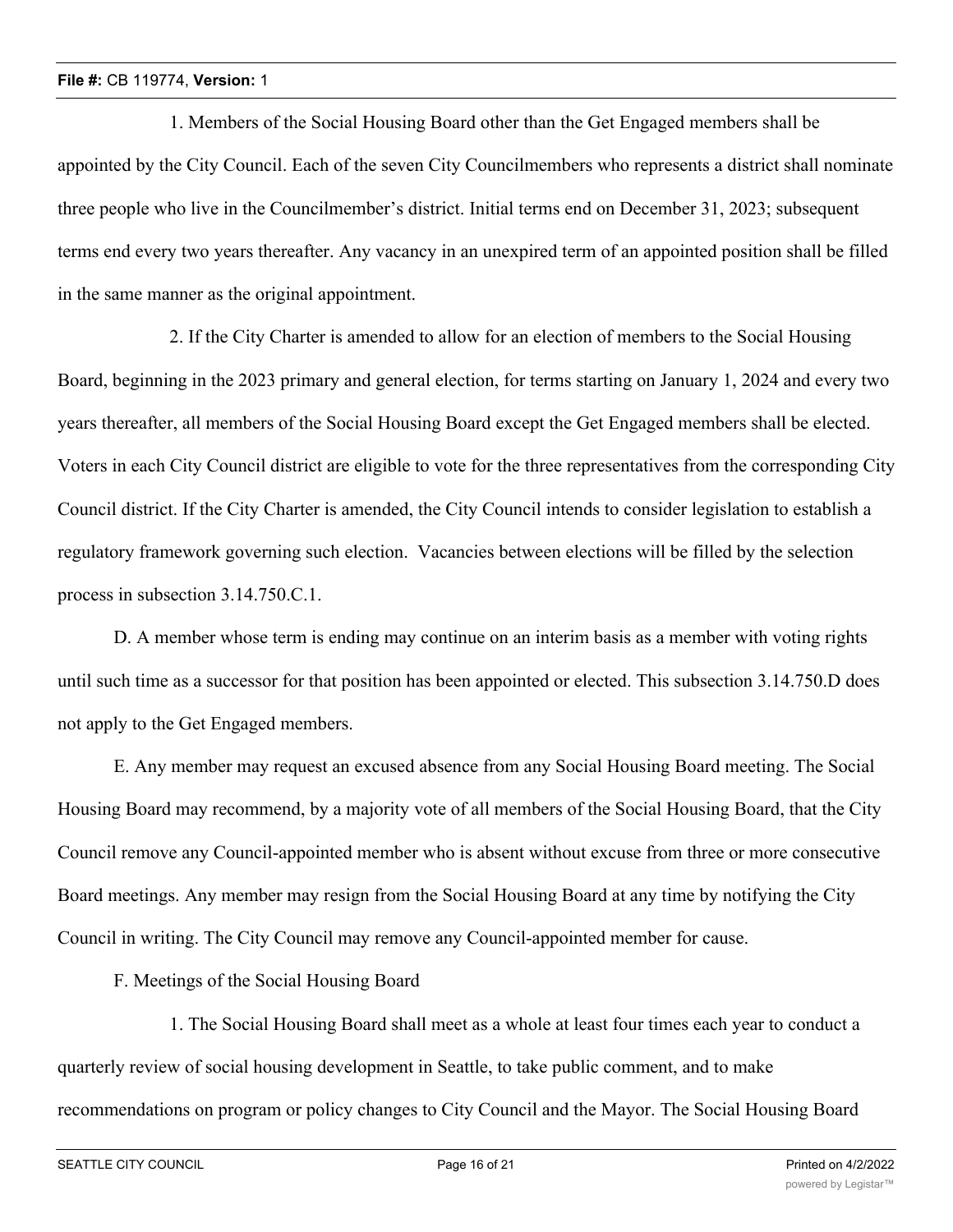1. Members of the Social Housing Board other than the Get Engaged members shall be appointed by the City Council. Each of the seven City Councilmembers who represents a district shall nominate three people who live in the Councilmember's district. Initial terms end on December 31, 2023; subsequent terms end every two years thereafter. Any vacancy in an unexpired term of an appointed position shall be filled in the same manner as the original appointment.

2. If the City Charter is amended to allow for an election of members to the Social Housing Board, beginning in the 2023 primary and general election, for terms starting on January 1, 2024 and every two years thereafter, all members of the Social Housing Board except the Get Engaged members shall be elected. Voters in each City Council district are eligible to vote for the three representatives from the corresponding City Council district. If the City Charter is amended, the City Council intends to consider legislation to establish a regulatory framework governing such election. Vacancies between elections will be filled by the selection process in subsection 3.14.750.C.1.

D. A member whose term is ending may continue on an interim basis as a member with voting rights until such time as a successor for that position has been appointed or elected. This subsection 3.14.750.D does not apply to the Get Engaged members.

E. Any member may request an excused absence from any Social Housing Board meeting. The Social Housing Board may recommend, by a majority vote of all members of the Social Housing Board, that the City Council remove any Council-appointed member who is absent without excuse from three or more consecutive Board meetings. Any member may resign from the Social Housing Board at any time by notifying the City Council in writing. The City Council may remove any Council-appointed member for cause.

F. Meetings of the Social Housing Board

1. The Social Housing Board shall meet as a whole at least four times each year to conduct a quarterly review of social housing development in Seattle, to take public comment, and to make recommendations on program or policy changes to City Council and the Mayor. The Social Housing Board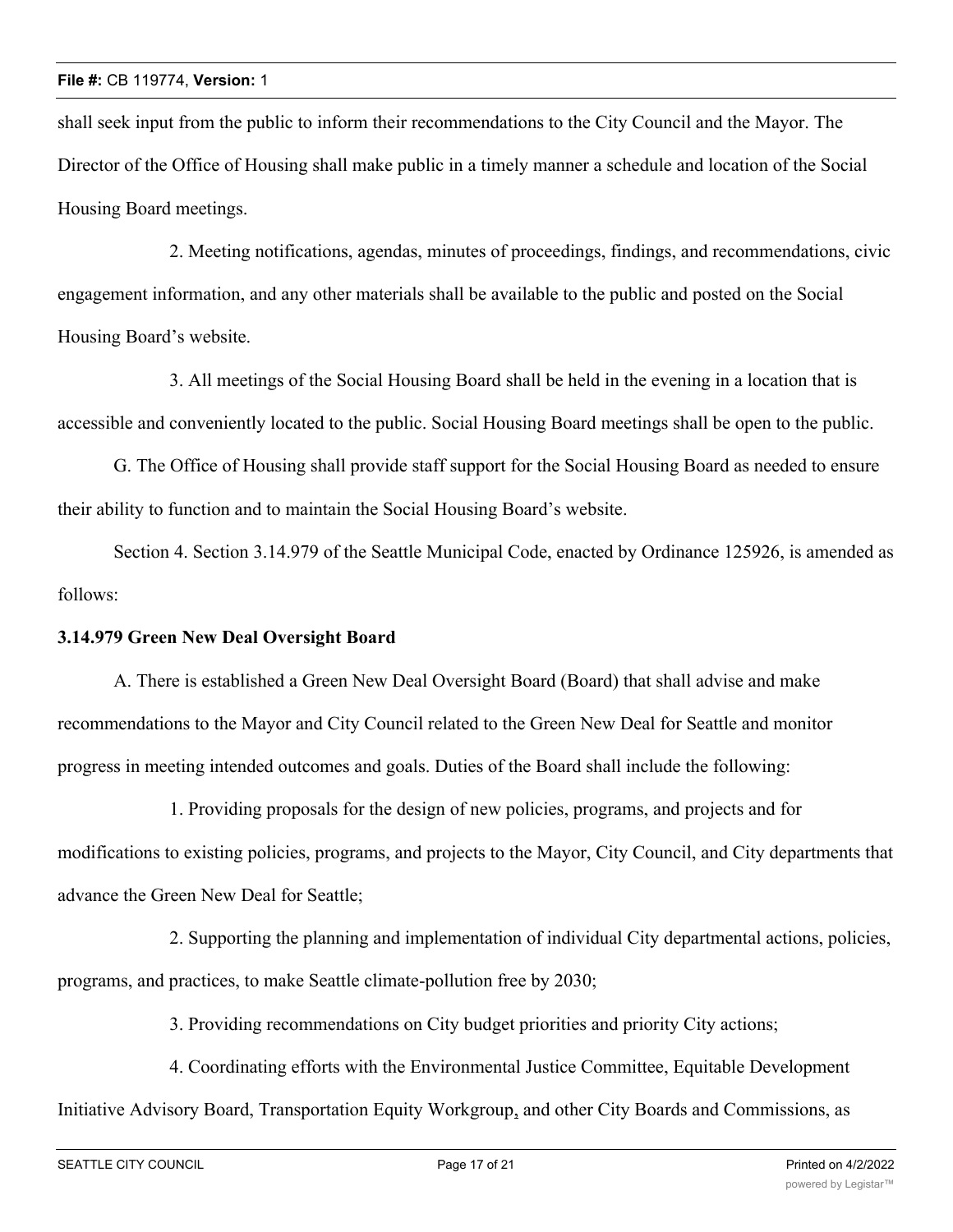shall seek input from the public to inform their recommendations to the City Council and the Mayor. The Director of the Office of Housing shall make public in a timely manner a schedule and location of the Social Housing Board meetings.

2. Meeting notifications, agendas, minutes of proceedings, findings, and recommendations, civic engagement information, and any other materials shall be available to the public and posted on the Social Housing Board's website.

3. All meetings of the Social Housing Board shall be held in the evening in a location that is accessible and conveniently located to the public. Social Housing Board meetings shall be open to the public.

G. The Office of Housing shall provide staff support for the Social Housing Board as needed to ensure their ability to function and to maintain the Social Housing Board's website.

Section 4. Section 3.14.979 of the Seattle Municipal Code, enacted by Ordinance 125926, is amended as follows:

## **3.14.979 Green New Deal Oversight Board**

A. There is established a Green New Deal Oversight Board (Board) that shall advise and make recommendations to the Mayor and City Council related to the Green New Deal for Seattle and monitor progress in meeting intended outcomes and goals. Duties of the Board shall include the following:

1. Providing proposals for the design of new policies, programs, and projects and for modifications to existing policies, programs, and projects to the Mayor, City Council, and City departments that advance the Green New Deal for Seattle;

2. Supporting the planning and implementation of individual City departmental actions, policies, programs, and practices, to make Seattle climate-pollution free by 2030;

3. Providing recommendations on City budget priorities and priority City actions;

4. Coordinating efforts with the Environmental Justice Committee, Equitable Development Initiative Advisory Board, Transportation Equity Workgroup, and other City Boards and Commissions, as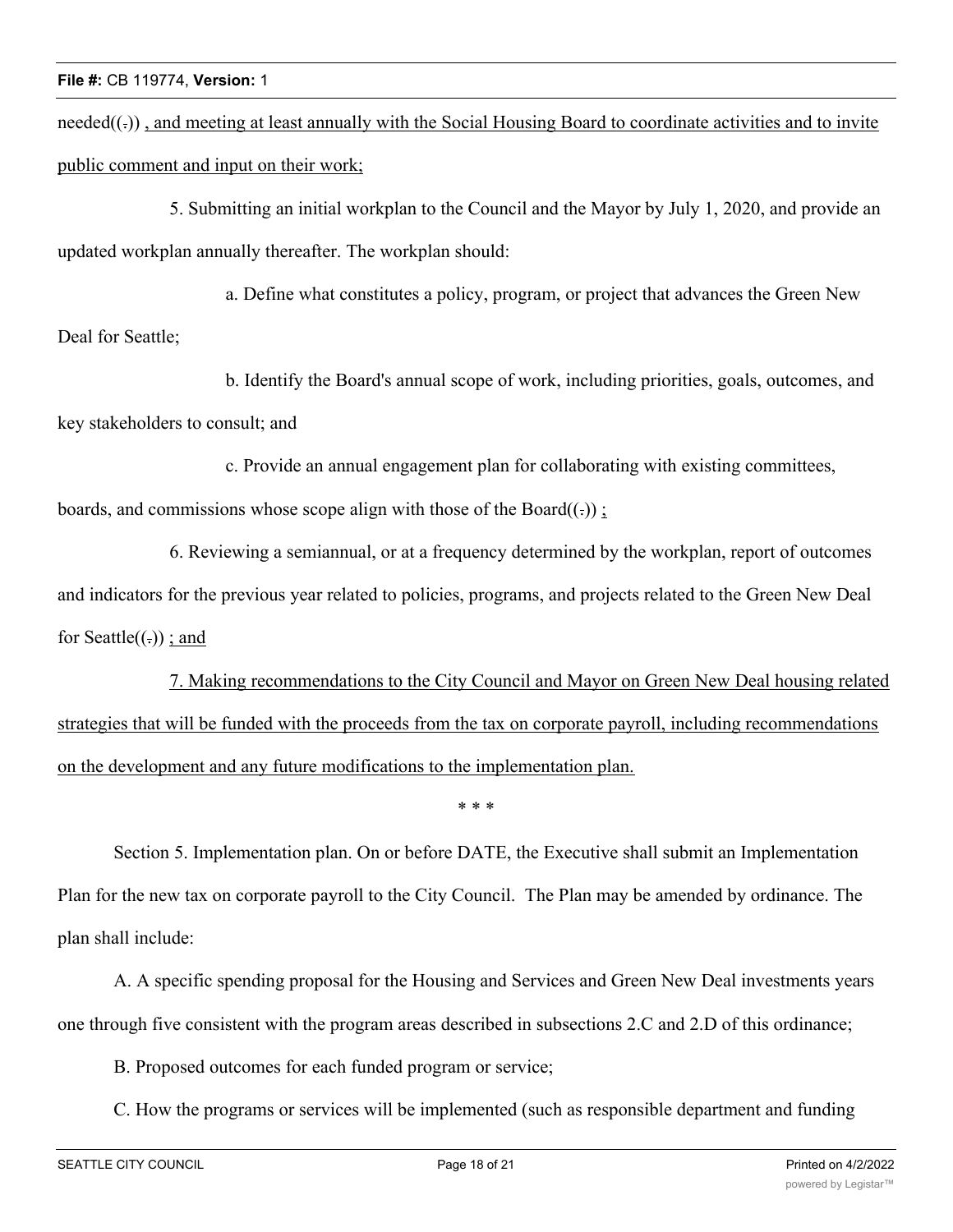$need(f<sub>c</sub>)$ , and meeting at least annually with the Social Housing Board to coordinate activities and to invite public comment and input on their work;

5. Submitting an initial workplan to the Council and the Mayor by July 1, 2020, and provide an updated workplan annually thereafter. The workplan should:

a. Define what constitutes a policy, program, or project that advances the Green New

Deal for Seattle;

b. Identify the Board's annual scope of work, including priorities, goals, outcomes, and key stakeholders to consult; and

c. Provide an annual engagement plan for collaborating with existing committees,

boards, and commissions whose scope align with those of the Board $((.)$ ;

6. Reviewing a semiannual, or at a frequency determined by the workplan, report of outcomes and indicators for the previous year related to policies, programs, and projects related to the Green New Deal for Seattle $((.)$ ; and

7. Making recommendations to the City Council and Mayor on Green New Deal housing related strategies that will be funded with the proceeds from the tax on corporate payroll, including recommendations on the development and any future modifications to the implementation plan.

\* \* \*

Section 5. Implementation plan. On or before DATE, the Executive shall submit an Implementation Plan for the new tax on corporate payroll to the City Council. The Plan may be amended by ordinance. The plan shall include:

A. A specific spending proposal for the Housing and Services and Green New Deal investments years one through five consistent with the program areas described in subsections 2.C and 2.D of this ordinance;

B. Proposed outcomes for each funded program or service;

C. How the programs or services will be implemented (such as responsible department and funding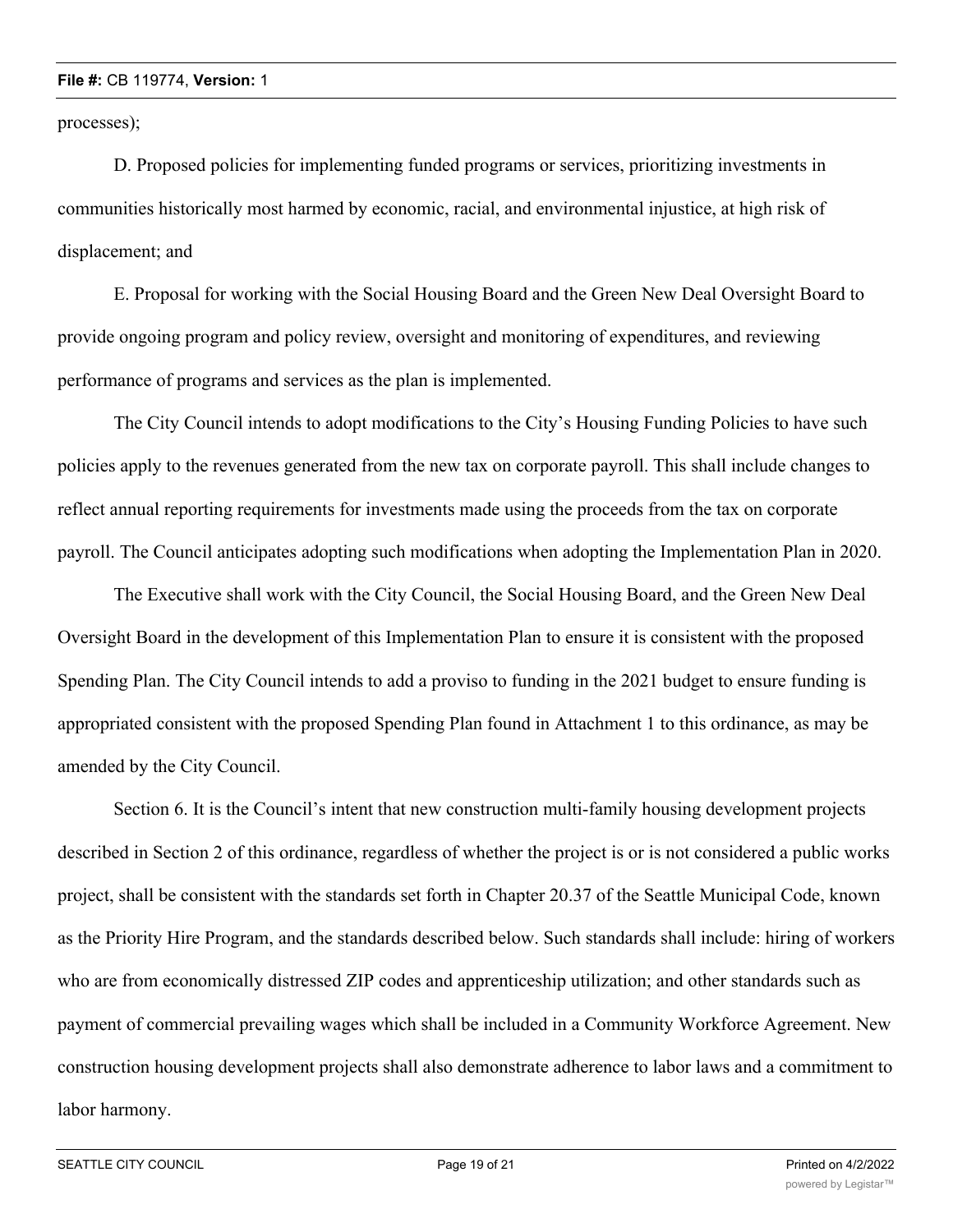processes);

D. Proposed policies for implementing funded programs or services, prioritizing investments in communities historically most harmed by economic, racial, and environmental injustice, at high risk of displacement; and

E. Proposal for working with the Social Housing Board and the Green New Deal Oversight Board to provide ongoing program and policy review, oversight and monitoring of expenditures, and reviewing performance of programs and services as the plan is implemented.

The City Council intends to adopt modifications to the City's Housing Funding Policies to have such policies apply to the revenues generated from the new tax on corporate payroll. This shall include changes to reflect annual reporting requirements for investments made using the proceeds from the tax on corporate payroll. The Council anticipates adopting such modifications when adopting the Implementation Plan in 2020.

The Executive shall work with the City Council, the Social Housing Board, and the Green New Deal Oversight Board in the development of this Implementation Plan to ensure it is consistent with the proposed Spending Plan. The City Council intends to add a proviso to funding in the 2021 budget to ensure funding is appropriated consistent with the proposed Spending Plan found in Attachment 1 to this ordinance, as may be amended by the City Council.

Section 6. It is the Council's intent that new construction multi-family housing development projects described in Section 2 of this ordinance, regardless of whether the project is or is not considered a public works project, shall be consistent with the standards set forth in Chapter 20.37 of the Seattle Municipal Code, known as the Priority Hire Program, and the standards described below. Such standards shall include: hiring of workers who are from economically distressed ZIP codes and apprenticeship utilization; and other standards such as payment of commercial prevailing wages which shall be included in a Community Workforce Agreement. New construction housing development projects shall also demonstrate adherence to labor laws and a commitment to labor harmony.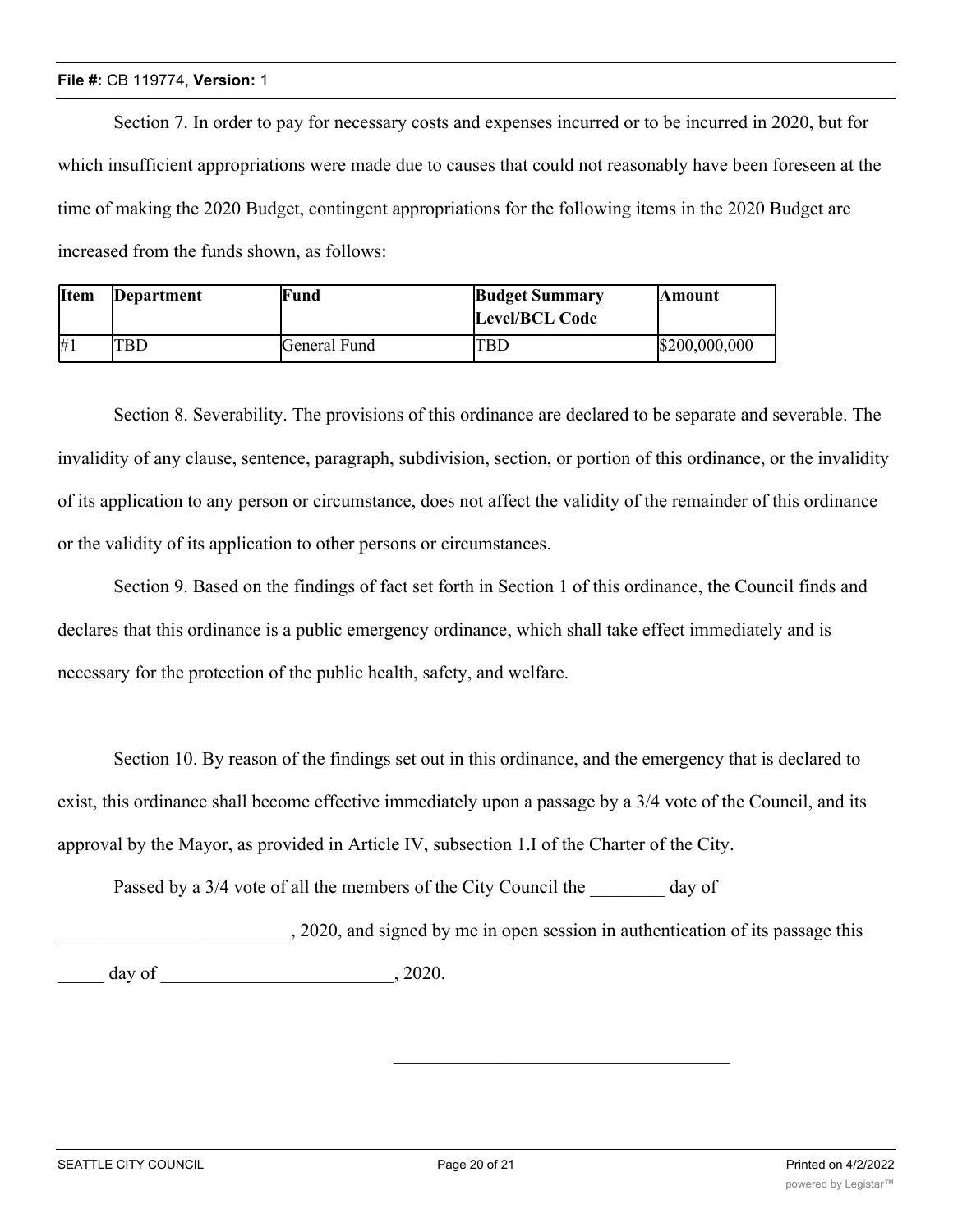Section 7. In order to pay for necessary costs and expenses incurred or to be incurred in 2020, but for which insufficient appropriations were made due to causes that could not reasonably have been foreseen at the time of making the 2020 Budget, contingent appropriations for the following items in the 2020 Budget are increased from the funds shown, as follows:

| <b>I</b> tem | Department | Fund         | <b>Budget Summary</b><br><b>Level/BCL Code</b> | <b>Amount</b> |
|--------------|------------|--------------|------------------------------------------------|---------------|
| #1           | <b>TBD</b> | General Fund | TBD                                            | \$200,000,000 |

Section 8. Severability. The provisions of this ordinance are declared to be separate and severable. The invalidity of any clause, sentence, paragraph, subdivision, section, or portion of this ordinance, or the invalidity of its application to any person or circumstance, does not affect the validity of the remainder of this ordinance or the validity of its application to other persons or circumstances.

Section 9. Based on the findings of fact set forth in Section 1 of this ordinance, the Council finds and declares that this ordinance is a public emergency ordinance, which shall take effect immediately and is necessary for the protection of the public health, safety, and welfare.

Section 10. By reason of the findings set out in this ordinance, and the emergency that is declared to exist, this ordinance shall become effective immediately upon a passage by a 3/4 vote of the Council, and its approval by the Mayor, as provided in Article IV, subsection 1.I of the Charter of the City.

Passed by a 3/4 vote of all the members of the City Council the day of

\_\_\_\_\_\_\_\_\_\_\_\_\_\_\_\_\_\_\_\_\_\_\_\_\_, 2020, and signed by me in open session in authentication of its passage this  $\frac{day}{x}$  of  $\frac{1}{x}$ , 2020.